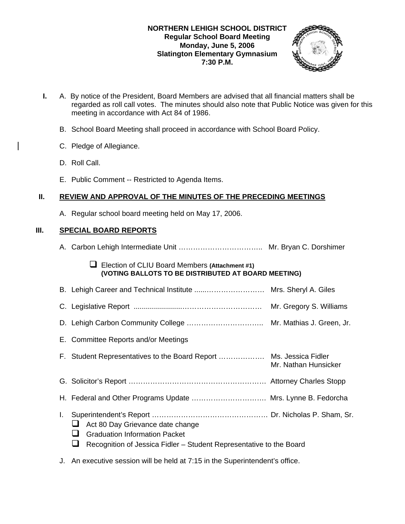# **NORTHERN LEHIGH SCHOOL DISTRICT Regular School Board Meeting Monday, June 5, 2006 Slatington Elementary Gymnasium 7:30 P.M.**



- **I.** A. By notice of the President, Board Members are advised that all financial matters shall be regarded as roll call votes. The minutes should also note that Public Notice was given for this meeting in accordance with Act 84 of 1986.
	- B. School Board Meeting shall proceed in accordance with School Board Policy.
	- C. Pledge of Allegiance.
	- D. Roll Call.
	- E. Public Comment -- Restricted to Agenda Items.

# **II. REVIEW AND APPROVAL OF THE MINUTES OF THE PRECEDING MEETINGS**

A. Regular school board meeting held on May 17, 2006.

# **III. SPECIAL BOARD REPORTS**

|    | Election of CLIU Board Members (Attachment #1)<br>(VOTING BALLOTS TO BE DISTRIBUTED AT BOARD MEETING)                                                |
|----|------------------------------------------------------------------------------------------------------------------------------------------------------|
|    |                                                                                                                                                      |
|    |                                                                                                                                                      |
|    |                                                                                                                                                      |
|    | E. Committee Reports and/or Meetings                                                                                                                 |
|    | Mr. Nathan Hunsicker                                                                                                                                 |
|    |                                                                                                                                                      |
|    | H. Federal and Other Programs Update  Mrs. Lynne B. Fedorcha                                                                                         |
| I. | Act 80 Day Grievance date change<br><b>Graduation Information Packet</b><br>Recognition of Jessica Fidler – Student Representative to the Board<br>┙ |
|    | J. An executive session will be held at 7:15 in the Superintendent's office.                                                                         |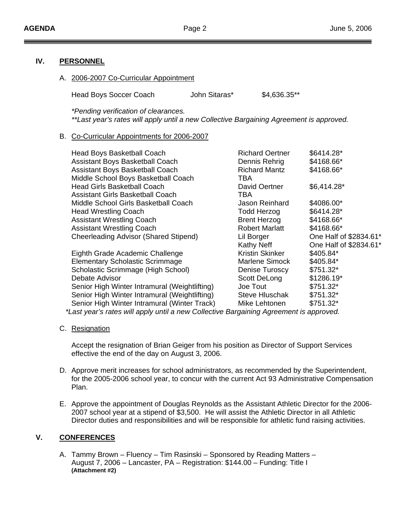# **IV. PERSONNEL**

A. 2006-2007 Co-Curricular Appointment

Head Boys Soccer Coach John Sitaras\* \$4,636.35\*\*

*\*Pending verification of clearances.* 

*\*\*Last year's rates will apply until a new Collective Bargaining Agreement is approved.* 

## B. Co-Curricular Appointments for 2006-2007

Eighth Grade Academic Challenge Elementary Scholastic Scrimmage Scholastic Scrimmage (High School) Debate Advisor Senior High Winter Intramural (Weightlifting) Senior High Winter Intramural (Weightlifting) Senior High Winter Intramural (Winter Track) Mike Lehtonen

| Head Boys Basketball Coach                    | <b>Richard Oertner</b> | \$6414.28*             |
|-----------------------------------------------|------------------------|------------------------|
| <b>Assistant Boys Basketball Coach</b>        | Dennis Rehrig          | \$4168.66*             |
| Assistant Boys Basketball Coach               | <b>Richard Mantz</b>   | \$4168.66*             |
| Middle School Boys Basketball Coach           | TBA                    |                        |
| <b>Head Girls Basketball Coach</b>            | David Oertner          | \$6,414.28"            |
| <b>Assistant Girls Basketball Coach</b>       | TBA                    |                        |
| Middle School Girls Basketball Coach          | Jason Reinhard         | \$4086.00*             |
| <b>Head Wrestling Coach</b>                   | <b>Todd Herzog</b>     | \$6414.28*             |
| <b>Assistant Wrestling Coach</b>              | <b>Brent Herzog</b>    | \$4168.66*             |
| <b>Assistant Wrestling Coach</b>              | <b>Robert Marlatt</b>  | \$4168.66*             |
| Cheerleading Advisor (Shared Stipend)         | Lil Borger             | One Half of \$2834.61* |
|                                               | Kathy Neff             | One Half of \$2834.61* |
| Eighth Grade Academic Challenge               | Kristin Skinker        | \$405.84*              |
| <b>Elementary Scholastic Scrimmage</b>        | Marlene Simock         | \$405.84*              |
| Scholastic Scrimmage (High School)            | Denise Turoscy         | \$751.32*              |
| Debate Advisor                                | Scott DeLong           | \$1286.19*             |
| Senior High Winter Intramural (Weightlifting) | Joe Tout               | $$751.32*$             |
| Senior High Winter Intramural (Weightlifting) | <b>Steve Hluschak</b>  | \$751.32*              |
| Senior High Winter Intramural (Winter Track)  | Mike Lehtonen.         | <b>ዩ751 32*</b>        |

*\*Last year's rates will apply until a new Collective Bargaining Agreement is approved.* 

C. Resignation

Accept the resignation of Brian Geiger from his position as Director of Support Services effective the end of the day on August 3, 2006.

- D. Approve merit increases for school administrators, as recommended by the Superintendent, for the 2005-2006 school year, to concur with the current Act 93 Administrative Compensation Plan.
- E. Approve the appointment of Douglas Reynolds as the Assistant Athletic Director for the 2006- 2007 school year at a stipend of \$3,500. He will assist the Athletic Director in all Athletic Director duties and responsibilities and will be responsible for athletic fund raising activities.

# **V. CONFERENCES**

A. Tammy Brown – Fluency – Tim Rasinski – Sponsored by Reading Matters – August 7, 2006 – Lancaster, PA – Registration: \$144.00 – Funding: Title I **(Attachment #2)**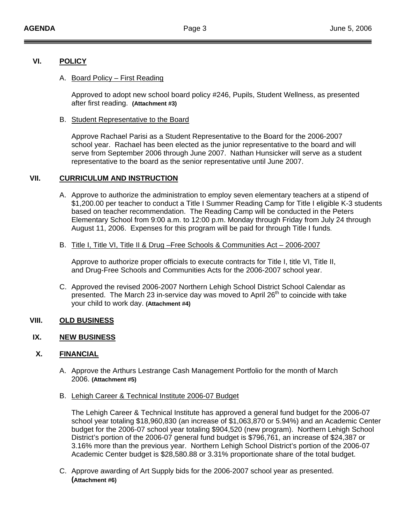## **VI. POLICY**

### A. Board Policy – First Reading

Approved to adopt new school board policy #246, Pupils, Student Wellness, as presented after first reading. **(Attachment #3)**

### B. Student Representative to the Board

Approve Rachael Parisi as a Student Representative to the Board for the 2006-2007 school year. Rachael has been elected as the junior representative to the board and will serve from September 2006 through June 2007. Nathan Hunsicker will serve as a student representative to the board as the senior representative until June 2007.

# **VII. CURRICULUM AND INSTRUCTION**

- A. Approve to authorize the administration to employ seven elementary teachers at a stipend of \$1,200.00 per teacher to conduct a Title I Summer Reading Camp for Title I eligible K-3 students based on teacher recommendation. The Reading Camp will be conducted in the Peters Elementary School from 9:00 a.m. to 12:00 p.m. Monday through Friday from July 24 through August 11, 2006. Expenses for this program will be paid for through Title I funds.
- B. Title I, Title VI, Title II & Drug –Free Schools & Communities Act 2006-2007

Approve to authorize proper officials to execute contracts for Title I, title VI, Title II, and Drug-Free Schools and Communities Acts for the 2006-2007 school year.

C. Approved the revised 2006-2007 Northern Lehigh School District School Calendar as presented. The March 23 in-service day was moved to April  $26<sup>th</sup>$  to coincide with take your child to work day. **(Attachment #4)**

# **VIII. OLD BUSINESS**

### **IX. NEW BUSINESS**

# **X. FINANCIAL**

- A. Approve the Arthurs Lestrange Cash Management Portfolio for the month of March 2006. **(Attachment #5)**
- B. Lehigh Career & Technical Institute 2006-07 Budget

The Lehigh Career & Technical Institute has approved a general fund budget for the 2006-07 school year totaling \$18,960,830 (an increase of \$1,063,870 or 5.94%) and an Academic Center budget for the 2006-07 school year totaling \$904,520 (new program). Northern Lehigh School District's portion of the 2006-07 general fund budget is \$796,761, an increase of \$24,387 or 3.16% more than the previous year. Northern Lehigh School District's portion of the 2006-07 Academic Center budget is \$28,580.88 or 3.31% proportionate share of the total budget.

C. Approve awarding of Art Supply bids for the 2006-2007 school year as presented. **(Attachment #6)**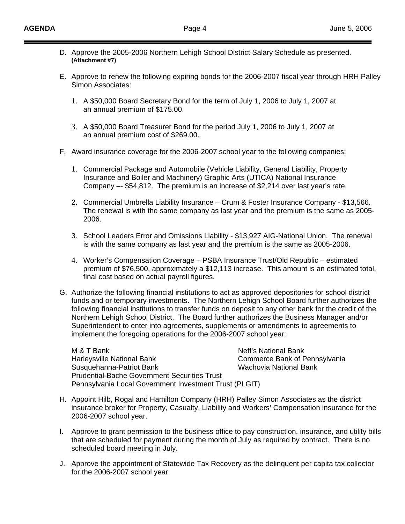- D. Approve the 2005-2006 Northern Lehigh School District Salary Schedule as presented.  **(Attachment #7)**
- E. Approve to renew the following expiring bonds for the 2006-2007 fiscal year through HRH Palley Simon Associates:
	- 1. A \$50,000 Board Secretary Bond for the term of July 1, 2006 to July 1, 2007 at an annual premium of \$175.00.
	- 3. A \$50,000 Board Treasurer Bond for the period July 1, 2006 to July 1, 2007 at an annual premium cost of \$269.00.
- F. Award insurance coverage for the 2006-2007 school year to the following companies:
	- 1. Commercial Package and Automobile (Vehicle Liability, General Liability, Property Insurance and Boiler and Machinery) Graphic Arts (UTICA) National Insurance Company –- \$54,812. The premium is an increase of \$2,214 over last year's rate.
	- 2. Commercial Umbrella Liability Insurance Crum & Foster Insurance Company \$13,566. The renewal is with the same company as last year and the premium is the same as 2005- 2006.
	- 3. School Leaders Error and Omissions Liability \$13,927 AIG-National Union. The renewal is with the same company as last year and the premium is the same as 2005-2006.
	- 4. Worker's Compensation Coverage PSBA Insurance Trust/Old Republic estimated premium of \$76,500, approximately a \$12,113 increase. This amount is an estimated total, final cost based on actual payroll figures.
- G. Authorize the following financial institutions to act as approved depositories for school district funds and or temporary investments. The Northern Lehigh School Board further authorizes the following financial institutions to transfer funds on deposit to any other bank for the credit of the Northern Lehigh School District. The Board further authorizes the Business Manager and/or Superintendent to enter into agreements, supplements or amendments to agreements to implement the foregoing operations for the 2006-2007 school year:

M & T Bank Neff's National Bank Harleysville National Bank Commerce Bank of Pennsylvania Susquehanna-Patriot Bank Wachovia National Bank Prudential-Bache Government Securities Trust Pennsylvania Local Government Investment Trust (PLGIT)

- H. Appoint Hilb, Rogal and Hamilton Company (HRH) Palley Simon Associates as the district insurance broker for Property, Casualty, Liability and Workers' Compensation insurance for the 2006-2007 school year.
- I. Approve to grant permission to the business office to pay construction, insurance, and utility bills that are scheduled for payment during the month of July as required by contract. There is no scheduled board meeting in July.
- J. Approve the appointment of Statewide Tax Recovery as the delinquent per capita tax collector for the 2006-2007 school year.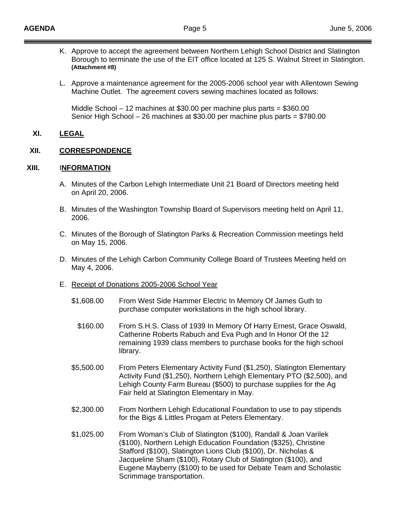- K. Approve to accept the agreement between Northern Lehigh School District and Slatington Borough to terminate the use of the EIT office located at 125 S. Walnut Street in Slatington. **(Attachment #8)**
- L. Approve a maintenance agreement for the 2005-2006 school year with Allentown Sewing Machine Outlet. The agreement covers sewing machines located as follows:

 Middle School – 12 machines at \$30.00 per machine plus parts = \$360.00 Senior High School – 26 machines at \$30.00 per machine plus parts = \$780.00

### **XI. LEGAL**

### **XII. CORRESPONDENCE**

## **XIII.** I**NFORMATION**

- A. Minutes of the Carbon Lehigh Intermediate Unit 21 Board of Directors meeting held on April 20, 2006.
- B. Minutes of the Washington Township Board of Supervisors meeting held on April 11, 2006.
- C. Minutes of the Borough of Slatington Parks & Recreation Commission meetings held on May 15, 2006.
- D. Minutes of the Lehigh Carbon Community College Board of Trustees Meeting held on May 4, 2006.
- E. Receipt of Donations 2005-2006 School Year
	- \$1,608.00 From West Side Hammer Electric In Memory Of James Guth to purchase computer workstations in the high school library.
		- \$160.00 From S.H.S. Class of 1939 In Memory Of Harry Ernest, Grace Oswald, Catherine Roberts Rabuch and Eva Pugh and In Honor Of the 12 remaining 1939 class members to purchase books for the high school library.
	- \$5,500.00 From Peters Elementary Activity Fund (\$1,250), Slatington Elementary Activity Fund (\$1,250), Northern Lehigh Elementary PTO (\$2,500), and Lehigh County Farm Bureau (\$500) to purchase supplies for the Ag Fair held at Slatington Elementary in May.
	- \$2,300.00 From Northern Lehigh Educational Foundation to use to pay stipends for the Bigs & Littles Progam at Peters Elementary.
	- \$1,025.00 From Woman's Club of Slatington (\$100), Randall & Joan Varilek (\$100), Northern Lehigh Education Foundation (\$325), Christine Stafford (\$100), Slatington Lions Club (\$100), Dr. Nicholas & Jacqueline Sham (\$100), Rotary Club of Slatington (\$100), and Eugene Mayberry (\$100) to be used for Debate Team and Scholastic Scrimmage transportation.